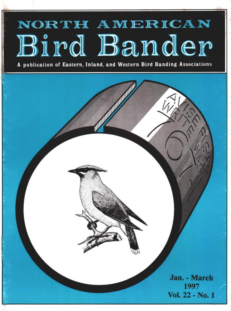# NORTH AMERICAN Bird Bander

**A publication of Eastern, Inland, and Western Bird Banding Associations**